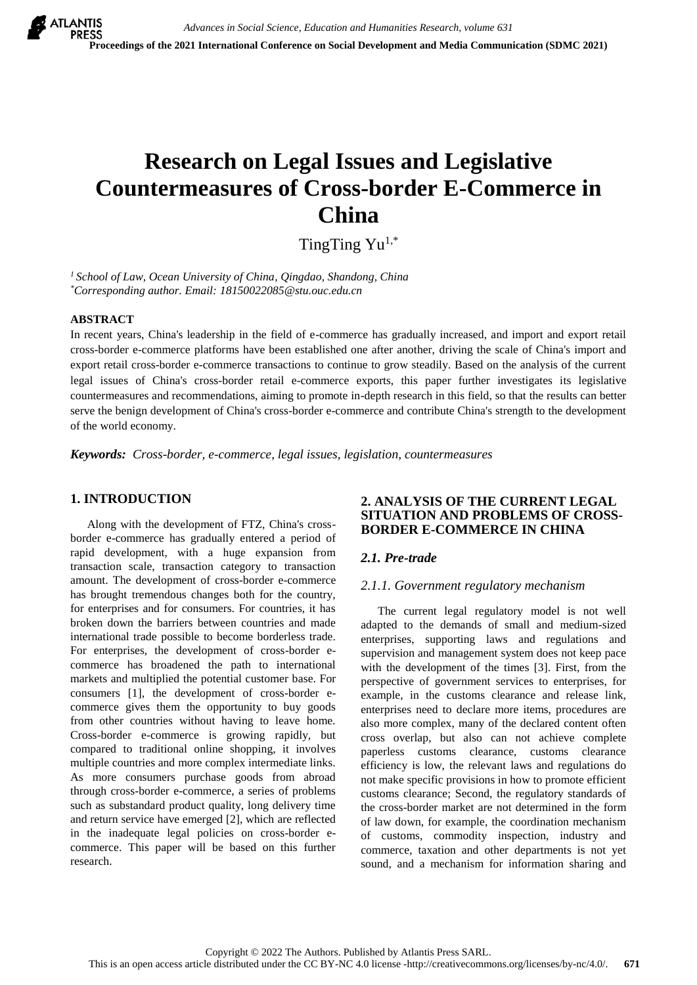# **Research on Legal Issues and Legislative Countermeasures of Cross-border E-Commerce in China**

TingTing Yu<sup>1,\*</sup>

*<sup>1</sup>School of Law, Ocean University of China, Qingdao, Shandong, China \*Corresponding author. Email: 18150022085@stu.ouc.edu.cn*

#### **ABSTRACT**

In recent years, China's leadership in the field of e-commerce has gradually increased, and import and export retail cross-border e-commerce platforms have been established one after another, driving the scale of China's import and export retail cross-border e-commerce transactions to continue to grow steadily. Based on the analysis of the current legal issues of China's cross-border retail e-commerce exports, this paper further investigates its legislative countermeasures and recommendations, aiming to promote in-depth research in this field, so that the results can better serve the benign development of China's cross-border e-commerce and contribute China's strength to the development of the world economy.

*Keywords: Cross-border, e-commerce, legal issues, legislation, countermeasures*

# **1. INTRODUCTION**

Along with the development of FTZ, China's crossborder e-commerce has gradually entered a period of rapid development, with a huge expansion from transaction scale, transaction category to transaction amount. The development of cross-border e-commerce has brought tremendous changes both for the country, for enterprises and for consumers. For countries, it has broken down the barriers between countries and made international trade possible to become borderless trade. For enterprises, the development of cross-border ecommerce has broadened the path to international markets and multiplied the potential customer base. For consumers [1], the development of cross-border ecommerce gives them the opportunity to buy goods from other countries without having to leave home. Cross-border e-commerce is growing rapidly, but compared to traditional online shopping, it involves multiple countries and more complex intermediate links. As more consumers purchase goods from abroad through cross-border e-commerce, a series of problems such as substandard product quality, long delivery time and return service have emerged [2], which are reflected in the inadequate legal policies on cross-border ecommerce. This paper will be based on this further research.

## **2. ANALYSIS OF THE CURRENT LEGAL SITUATION AND PROBLEMS OF CROSS-BORDER E-COMMERCE IN CHINA**

# *2.1. Pre-trade*

#### *2.1.1. Government regulatory mechanism*

The current legal regulatory model is not well adapted to the demands of small and medium-sized enterprises, supporting laws and regulations and supervision and management system does not keep pace with the development of the times [3]. First, from the perspective of government services to enterprises, for example, in the customs clearance and release link, enterprises need to declare more items, procedures are also more complex, many of the declared content often cross overlap, but also can not achieve complete paperless customs clearance, customs clearance efficiency is low, the relevant laws and regulations do not make specific provisions in how to promote efficient customs clearance; Second, the regulatory standards of the cross-border market are not determined in the form of law down, for example, the coordination mechanism of customs, commodity inspection, industry and commerce, taxation and other departments is not yet sound, and a mechanism for information sharing and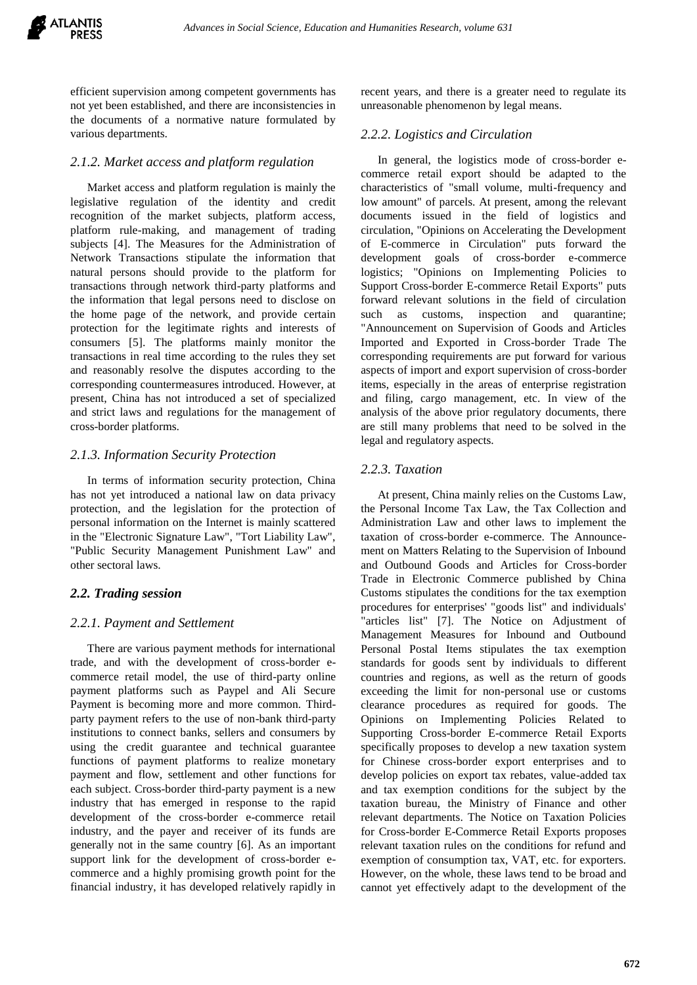efficient supervision among competent governments has not yet been established, and there are inconsistencies in the documents of a normative nature formulated by various departments.

# *2.1.2. Market access and platform regulation*

Market access and platform regulation is mainly the legislative regulation of the identity and credit recognition of the market subjects, platform access, platform rule-making, and management of trading subjects [4]. The Measures for the Administration of Network Transactions stipulate the information that natural persons should provide to the platform for transactions through network third-party platforms and the information that legal persons need to disclose on the home page of the network, and provide certain protection for the legitimate rights and interests of consumers [5]. The platforms mainly monitor the transactions in real time according to the rules they set and reasonably resolve the disputes according to the corresponding countermeasures introduced. However, at present, China has not introduced a set of specialized and strict laws and regulations for the management of cross-border platforms.

## *2.1.3. Information Security Protection*

In terms of information security protection, China has not yet introduced a national law on data privacy protection, and the legislation for the protection of personal information on the Internet is mainly scattered in the "Electronic Signature Law", "Tort Liability Law", "Public Security Management Punishment Law" and other sectoral laws.

# *2.2. Trading session*

#### *2.2.1. Payment and Settlement*

There are various payment methods for international trade, and with the development of cross-border ecommerce retail model, the use of third-party online payment platforms such as Paypel and Ali Secure Payment is becoming more and more common. Thirdparty payment refers to the use of non-bank third-party institutions to connect banks, sellers and consumers by using the credit guarantee and technical guarantee functions of payment platforms to realize monetary payment and flow, settlement and other functions for each subject. Cross-border third-party payment is a new industry that has emerged in response to the rapid development of the cross-border e-commerce retail industry, and the payer and receiver of its funds are generally not in the same country [6]. As an important support link for the development of cross-border ecommerce and a highly promising growth point for the financial industry, it has developed relatively rapidly in recent years, and there is a greater need to regulate its unreasonable phenomenon by legal means.

## *2.2.2. Logistics and Circulation*

In general, the logistics mode of cross-border ecommerce retail export should be adapted to the characteristics of "small volume, multi-frequency and low amount" of parcels. At present, among the relevant documents issued in the field of logistics and circulation, "Opinions on Accelerating the Development of E-commerce in Circulation" puts forward the development goals of cross-border e-commerce logistics; "Opinions on Implementing Policies to Support Cross-border E-commerce Retail Exports" puts forward relevant solutions in the field of circulation such as customs, inspection and quarantine; "Announcement on Supervision of Goods and Articles Imported and Exported in Cross-border Trade The corresponding requirements are put forward for various aspects of import and export supervision of cross-border items, especially in the areas of enterprise registration and filing, cargo management, etc. In view of the analysis of the above prior regulatory documents, there are still many problems that need to be solved in the legal and regulatory aspects.

## *2.2.3. Taxation*

At present, China mainly relies on the Customs Law, the Personal Income Tax Law, the Tax Collection and Administration Law and other laws to implement the taxation of cross-border e-commerce. The Announcement on Matters Relating to the Supervision of Inbound and Outbound Goods and Articles for Cross-border Trade in Electronic Commerce published by China Customs stipulates the conditions for the tax exemption procedures for enterprises' "goods list" and individuals' "articles list" [7]. The Notice on Adjustment of Management Measures for Inbound and Outbound Personal Postal Items stipulates the tax exemption standards for goods sent by individuals to different countries and regions, as well as the return of goods exceeding the limit for non-personal use or customs clearance procedures as required for goods. The Opinions on Implementing Policies Related to Supporting Cross-border E-commerce Retail Exports specifically proposes to develop a new taxation system for Chinese cross-border export enterprises and to develop policies on export tax rebates, value-added tax and tax exemption conditions for the subject by the taxation bureau, the Ministry of Finance and other relevant departments. The Notice on Taxation Policies for Cross-border E-Commerce Retail Exports proposes relevant taxation rules on the conditions for refund and exemption of consumption tax, VAT, etc. for exporters. However, on the whole, these laws tend to be broad and cannot yet effectively adapt to the development of the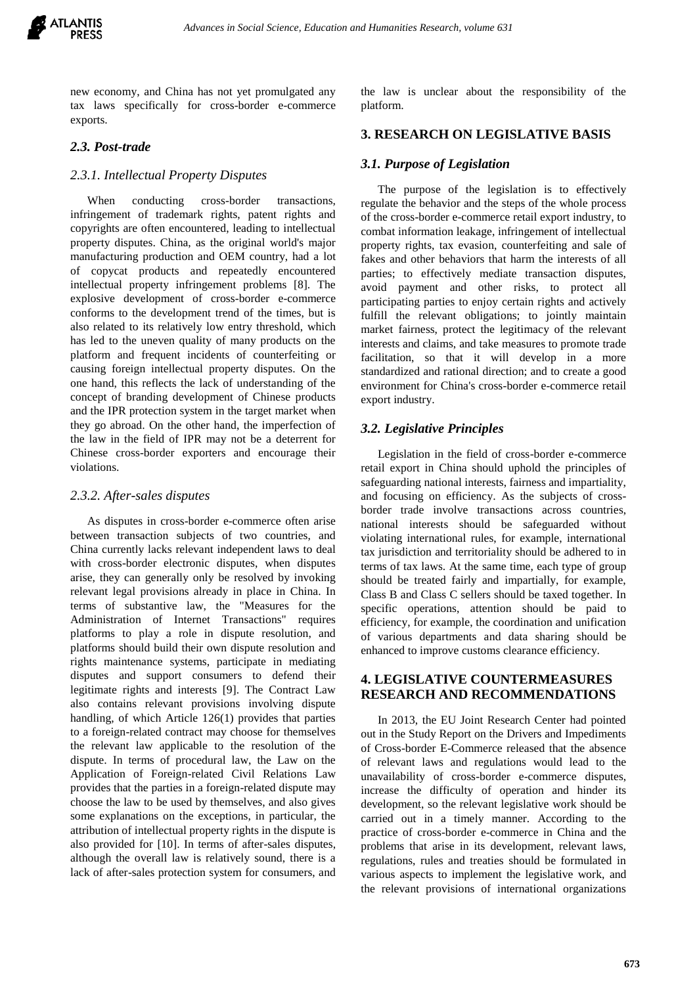

new economy, and China has not yet promulgated any tax laws specifically for cross-border e-commerce exports.

## *2.3. Post-trade*

#### *2.3.1. Intellectual Property Disputes*

When conducting cross-border transactions, infringement of trademark rights, patent rights and copyrights are often encountered, leading to intellectual property disputes. China, as the original world's major manufacturing production and OEM country, had a lot of copycat products and repeatedly encountered intellectual property infringement problems [8]. The explosive development of cross-border e-commerce conforms to the development trend of the times, but is also related to its relatively low entry threshold, which has led to the uneven quality of many products on the platform and frequent incidents of counterfeiting or causing foreign intellectual property disputes. On the one hand, this reflects the lack of understanding of the concept of branding development of Chinese products and the IPR protection system in the target market when they go abroad. On the other hand, the imperfection of the law in the field of IPR may not be a deterrent for Chinese cross-border exporters and encourage their violations.

#### *2.3.2. After-sales disputes*

As disputes in cross-border e-commerce often arise between transaction subjects of two countries, and China currently lacks relevant independent laws to deal with cross-border electronic disputes, when disputes arise, they can generally only be resolved by invoking relevant legal provisions already in place in China. In terms of substantive law, the "Measures for the Administration of Internet Transactions" requires platforms to play a role in dispute resolution, and platforms should build their own dispute resolution and rights maintenance systems, participate in mediating disputes and support consumers to defend their legitimate rights and interests [9]. The Contract Law also contains relevant provisions involving dispute handling, of which Article 126(1) provides that parties to a foreign-related contract may choose for themselves the relevant law applicable to the resolution of the dispute. In terms of procedural law, the Law on the Application of Foreign-related Civil Relations Law provides that the parties in a foreign-related dispute may choose the law to be used by themselves, and also gives some explanations on the exceptions, in particular, the attribution of intellectual property rights in the dispute is also provided for [10]. In terms of after-sales disputes, although the overall law is relatively sound, there is a lack of after-sales protection system for consumers, and

the law is unclear about the responsibility of the platform.

## **3. RESEARCH ON LEGISLATIVE BASIS**

#### *3.1. Purpose of Legislation*

The purpose of the legislation is to effectively regulate the behavior and the steps of the whole process of the cross-border e-commerce retail export industry, to combat information leakage, infringement of intellectual property rights, tax evasion, counterfeiting and sale of fakes and other behaviors that harm the interests of all parties; to effectively mediate transaction disputes, avoid payment and other risks, to protect all participating parties to enjoy certain rights and actively fulfill the relevant obligations; to jointly maintain market fairness, protect the legitimacy of the relevant interests and claims, and take measures to promote trade facilitation, so that it will develop in a more standardized and rational direction; and to create a good environment for China's cross-border e-commerce retail export industry.

#### *3.2. Legislative Principles*

Legislation in the field of cross-border e-commerce retail export in China should uphold the principles of safeguarding national interests, fairness and impartiality, and focusing on efficiency. As the subjects of crossborder trade involve transactions across countries, national interests should be safeguarded without violating international rules, for example, international tax jurisdiction and territoriality should be adhered to in terms of tax laws. At the same time, each type of group should be treated fairly and impartially, for example, Class B and Class C sellers should be taxed together. In specific operations, attention should be paid to efficiency, for example, the coordination and unification of various departments and data sharing should be enhanced to improve customs clearance efficiency.

### **4. LEGISLATIVE COUNTERMEASURES RESEARCH AND RECOMMENDATIONS**

In 2013, the EU Joint Research Center had pointed out in the Study Report on the Drivers and Impediments of Cross-border E-Commerce released that the absence of relevant laws and regulations would lead to the unavailability of cross-border e-commerce disputes, increase the difficulty of operation and hinder its development, so the relevant legislative work should be carried out in a timely manner. According to the practice of cross-border e-commerce in China and the problems that arise in its development, relevant laws, regulations, rules and treaties should be formulated in various aspects to implement the legislative work, and the relevant provisions of international organizations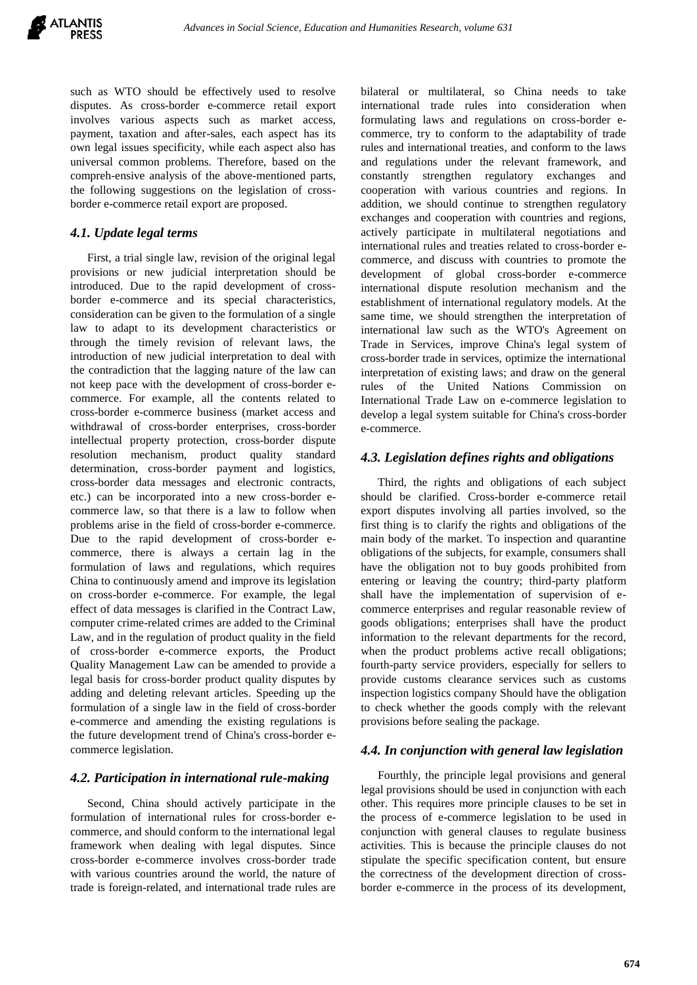such as WTO should be effectively used to resolve disputes. As cross-border e-commerce retail export involves various aspects such as market access, payment, taxation and after-sales, each aspect has its own legal issues specificity, while each aspect also has universal common problems. Therefore, based on the compreh-ensive analysis of the above-mentioned parts, the following suggestions on the legislation of crossborder e-commerce retail export are proposed.

# *4.1. Update legal terms*

First, a trial single law, revision of the original legal provisions or new judicial interpretation should be introduced. Due to the rapid development of crossborder e-commerce and its special characteristics, consideration can be given to the formulation of a single law to adapt to its development characteristics or through the timely revision of relevant laws, the introduction of new judicial interpretation to deal with the contradiction that the lagging nature of the law can not keep pace with the development of cross-border ecommerce. For example, all the contents related to cross-border e-commerce business (market access and withdrawal of cross-border enterprises, cross-border intellectual property protection, cross-border dispute resolution mechanism, product quality standard determination, cross-border payment and logistics, cross-border data messages and electronic contracts, etc.) can be incorporated into a new cross-border ecommerce law, so that there is a law to follow when problems arise in the field of cross-border e-commerce. Due to the rapid development of cross-border ecommerce, there is always a certain lag in the formulation of laws and regulations, which requires China to continuously amend and improve its legislation on cross-border e-commerce. For example, the legal effect of data messages is clarified in the Contract Law, computer crime-related crimes are added to the Criminal Law, and in the regulation of product quality in the field of cross-border e-commerce exports, the Product Quality Management Law can be amended to provide a legal basis for cross-border product quality disputes by adding and deleting relevant articles. Speeding up the formulation of a single law in the field of cross-border e-commerce and amending the existing regulations is the future development trend of China's cross-border ecommerce legislation.

# *4.2. Participation in international rule-making*

Second, China should actively participate in the formulation of international rules for cross-border ecommerce, and should conform to the international legal framework when dealing with legal disputes. Since cross-border e-commerce involves cross-border trade with various countries around the world, the nature of trade is foreign-related, and international trade rules are bilateral or multilateral, so China needs to take international trade rules into consideration when formulating laws and regulations on cross-border ecommerce, try to conform to the adaptability of trade rules and international treaties, and conform to the laws and regulations under the relevant framework, and constantly strengthen regulatory exchanges and cooperation with various countries and regions. In addition, we should continue to strengthen regulatory exchanges and cooperation with countries and regions, actively participate in multilateral negotiations and international rules and treaties related to cross-border ecommerce, and discuss with countries to promote the development of global cross-border e-commerce international dispute resolution mechanism and the establishment of international regulatory models. At the same time, we should strengthen the interpretation of international law such as the WTO's Agreement on Trade in Services, improve China's legal system of cross-border trade in services, optimize the international interpretation of existing laws; and draw on the general rules of the United Nations Commission on International Trade Law on e-commerce legislation to develop a legal system suitable for China's cross-border e-commerce.

## *4.3. Legislation defines rights and obligations*

Third, the rights and obligations of each subject should be clarified. Cross-border e-commerce retail export disputes involving all parties involved, so the first thing is to clarify the rights and obligations of the main body of the market. To inspection and quarantine obligations of the subjects, for example, consumers shall have the obligation not to buy goods prohibited from entering or leaving the country; third-party platform shall have the implementation of supervision of ecommerce enterprises and regular reasonable review of goods obligations; enterprises shall have the product information to the relevant departments for the record, when the product problems active recall obligations; fourth-party service providers, especially for sellers to provide customs clearance services such as customs inspection logistics company Should have the obligation to check whether the goods comply with the relevant provisions before sealing the package.

# *4.4. In conjunction with general law legislation*

Fourthly, the principle legal provisions and general legal provisions should be used in conjunction with each other. This requires more principle clauses to be set in the process of e-commerce legislation to be used in conjunction with general clauses to regulate business activities. This is because the principle clauses do not stipulate the specific specification content, but ensure the correctness of the development direction of crossborder e-commerce in the process of its development,